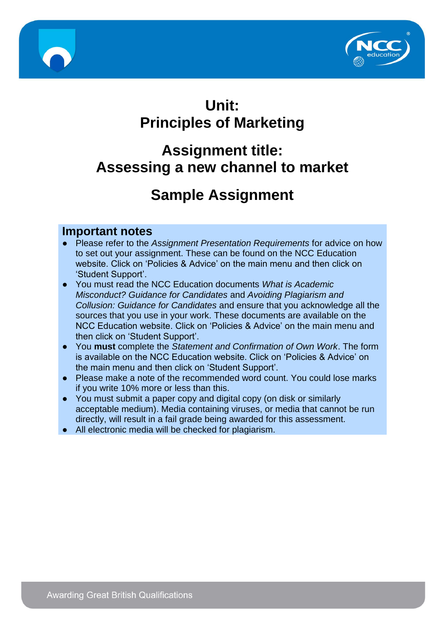



## **Unit: Principles of Marketing**

## **Assignment title: Assessing a new channel to market**

# **Sample Assignment**

#### **Important notes**

- Please refer to the *Assignment Presentation Requirements* for advice on how to set out your assignment. These can be found on the NCC Education website. Click on 'Policies & Advice' on the main menu and then click on 'Student Support'.
- You must read the NCC Education documents *What is Academic Misconduct? Guidance for Candidates* and *Avoiding Plagiarism and Collusion: Guidance for Candidates* and ensure that you acknowledge all the sources that you use in your work. These documents are available on the NCC Education website. Click on 'Policies & Advice' on the main menu and then click on 'Student Support'.
- You **must** complete the *Statement and Confirmation of Own Work*. The form is available on the NCC Education website. Click on 'Policies & Advice' on the main menu and then click on 'Student Support'.
- Please make a note of the recommended word count. You could lose marks if you write 10% more or less than this.
- You must submit a paper copy and digital copy (on disk or similarly acceptable medium). Media containing viruses, or media that cannot be run directly, will result in a fail grade being awarded for this assessment.
- All electronic media will be checked for plagiarism.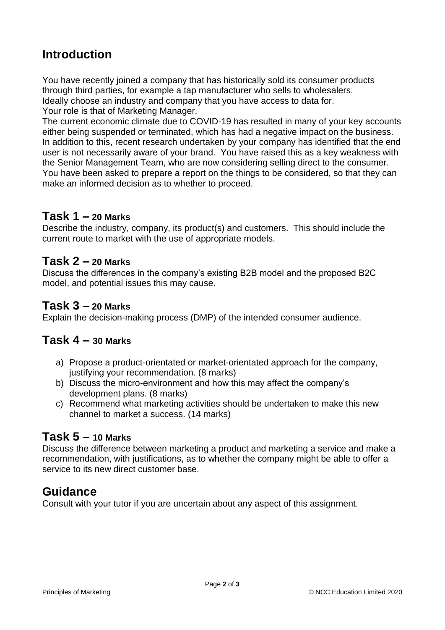## **Introduction**

You have recently joined a company that has historically sold its consumer products through third parties, for example a tap manufacturer who sells to wholesalers. Ideally choose an industry and company that you have access to data for. Your role is that of Marketing Manager.

The current economic climate due to COVID-19 has resulted in many of your key accounts either being suspended or terminated, which has had a negative impact on the business. In addition to this, recent research undertaken by your company has identified that the end user is not necessarily aware of your brand. You have raised this as a key weakness with the Senior Management Team, who are now considering selling direct to the consumer. You have been asked to prepare a report on the things to be considered, so that they can make an informed decision as to whether to proceed.

#### **Task 1 – 20 Marks**

Describe the industry, company, its product(s) and customers. This should include the current route to market with the use of appropriate models.

#### **Task 2 – 20 Marks**

Discuss the differences in the company's existing B2B model and the proposed B2C model, and potential issues this may cause.

#### **Task 3 – 20 Marks**

Explain the decision-making process (DMP) of the intended consumer audience.

#### **Task 4 – 30 Marks**

- a) Propose a product-orientated or market-orientated approach for the company, justifying your recommendation. (8 marks)
- b) Discuss the micro-environment and how this may affect the company's development plans. (8 marks)
- c) Recommend what marketing activities should be undertaken to make this new channel to market a success. (14 marks)

#### **Task 5 – 10 Marks**

Discuss the difference between marketing a product and marketing a service and make a recommendation, with justifications, as to whether the company might be able to offer a service to its new direct customer base.

## **Guidance**

Consult with your tutor if you are uncertain about any aspect of this assignment.